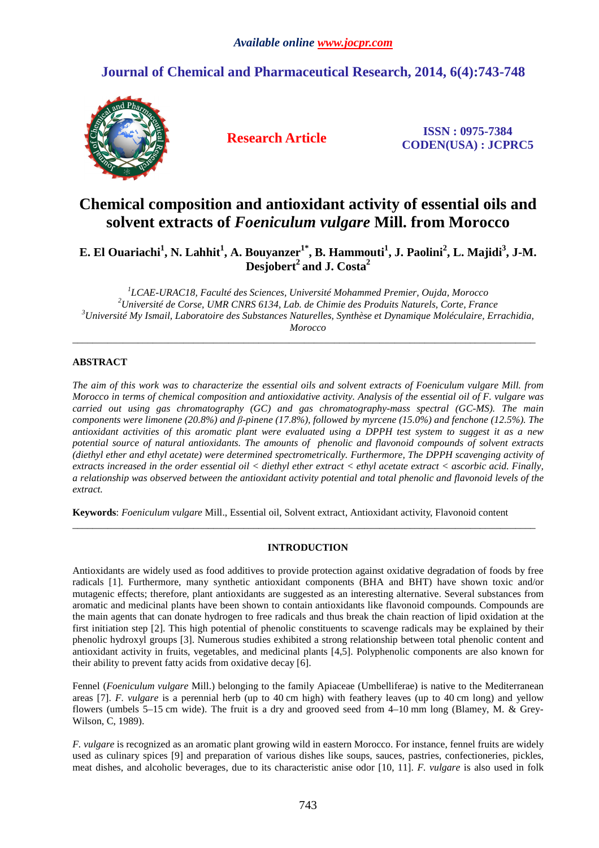## **Journal of Chemical and Pharmaceutical Research, 2014, 6(4):743-748**



**Research Article ISSN : 0975-7384 CODEN(USA) : JCPRC5**

# **Chemical composition and antioxidant activity of essential oils and solvent extracts of** *Foeniculum vulgare* **Mill. from Morocco**

**E. El Ouariachi<sup>1</sup> , N. Lahhit<sup>1</sup> , A. Bouyanzer1\*, B. Hammouti<sup>1</sup> , J. Paolini<sup>2</sup> , L. Majidi<sup>3</sup> , J-M. Desjobert<sup>2</sup>and J. Costa<sup>2</sup>**

 *LCAE-URAC18, Faculté des Sciences, Université Mohammed Premier, Oujda, Morocco Université de Corse, UMR CNRS 6134, Lab. de Chimie des Produits Naturels, Corte, France Université My Ismail, Laboratoire des Substances Naturelles, Synthèse et Dynamique Moléculaire, Errachidia, Morocco* 

 $\overline{\phantom{a}}$  , and the set of the set of the set of the set of the set of the set of the set of the set of the set of the set of the set of the set of the set of the set of the set of the set of the set of the set of the s

## **ABSTRACT**

*The aim of this work was to characterize the essential oils and solvent extracts of Foeniculum vulgare Mill. from Morocco in terms of chemical composition and antioxidative activity. Analysis of the essential oil of F. vulgare was carried out using gas chromatography (GC) and gas chromatography-mass spectral (GC-MS). The main components were limonene (20.8%) and β-pinene (17.8%), followed by myrcene (15.0%) and fenchone (12.5%). The antioxidant activities of this aromatic plant were evaluated using a DPPH test system to suggest it as a new potential source of natural antioxidants. The amounts of phenolic and flavonoid compounds of solvent extracts (diethyl ether and ethyl acetate) were determined spectrometrically. Furthermore, The DPPH scavenging activity of extracts increased in the order essential oil < diethyl ether extract < ethyl acetate extract < ascorbic acid. Finally, a relationship was observed between the antioxidant activity potential and total phenolic and flavonoid levels of the extract.* 

**Keywords**: *Foeniculum vulgare* Mill., Essential oil, Solvent extract, Antioxidant activity, Flavonoid content

## **INTRODUCTION**

 $\overline{\phantom{a}}$  , and the set of the set of the set of the set of the set of the set of the set of the set of the set of the set of the set of the set of the set of the set of the set of the set of the set of the set of the s

Antioxidants are widely used as food additives to provide protection against oxidative degradation of foods by free radicals [1]. Furthermore, many synthetic antioxidant components (BHA and BHT) have shown toxic and/or mutagenic effects; therefore, plant antioxidants are suggested as an interesting alternative. Several substances from aromatic and medicinal plants have been shown to contain antioxidants like flavonoid compounds. Compounds are the main agents that can donate hydrogen to free radicals and thus break the chain reaction of lipid oxidation at the first initiation step [2]. This high potential of phenolic constituents to scavenge radicals may be explained by their phenolic hydroxyl groups [3]. Numerous studies exhibited a strong relationship between total phenolic content and antioxidant activity in fruits, vegetables, and medicinal plants [4,5]. Polyphenolic components are also known for their ability to prevent fatty acids from oxidative decay [6].

Fennel (*Foeniculum vulgare* Mill.) belonging to the family Apiaceae (Umbelliferae) is native to the Mediterranean areas [7]. *F. vulgare* is a perennial herb (up to 40 cm high) with feathery leaves (up to 40 cm long) and yellow flowers (umbels 5–15 cm wide). The fruit is a dry and grooved seed from 4–10 mm long (Blamey, M. & Grey-Wilson, C, 1989).

*F. vulgare* is recognized as an aromatic plant growing wild in eastern Morocco. For instance, fennel fruits are widely used as culinary spices [9] and preparation of various dishes like soups, sauces, pastries, confectioneries, pickles, meat dishes, and alcoholic beverages, due to its characteristic anise odor [10, 11]. *F. vulgare* is also used in folk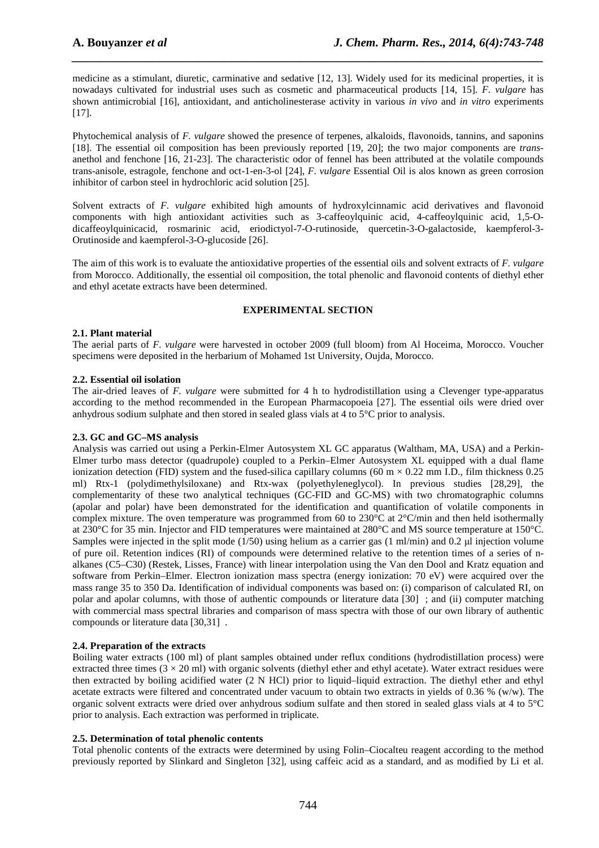medicine as a stimulant, diuretic, carminative and sedative [12, 13]. Widely used for its medicinal properties, it is nowadays cultivated for industrial uses such as cosmetic and pharmaceutical products [14, 15]. *F. vulgare* has shown antimicrobial [16], antioxidant, and anticholinesterase activity in various *in vivo* and *in vitro* experiments [17].

*\_\_\_\_\_\_\_\_\_\_\_\_\_\_\_\_\_\_\_\_\_\_\_\_\_\_\_\_\_\_\_\_\_\_\_\_\_\_\_\_\_\_\_\_\_\_\_\_\_\_\_\_\_\_\_\_\_\_\_\_\_\_\_\_\_\_\_\_\_\_\_\_\_\_\_\_\_\_*

Phytochemical analysis of *F. vulgare* showed the presence of terpenes, alkaloids, flavonoids, tannins, and saponins [18]. The essential oil composition has been previously reported [19, 20]; the two major components are *trans*anethol and fenchone [16, 21-23]. The characteristic odor of fennel has been attributed at the volatile compounds trans-anisole, estragole, fenchone and oct-1-en-3-ol [24], *F. vulgare* Essential Oil is alos known as green corrosion inhibitor of carbon steel in hydrochloric acid solution [25].

Solvent extracts of *F. vulgare* exhibited high amounts of hydroxylcinnamic acid derivatives and flavonoid components with high antioxidant activities such as 3-caffeoylquinic acid, 4-caffeoylquinic acid, 1,5-Odicaffeoylquinicacid, rosmarinic acid, eriodictyol-7-O-rutinoside, quercetin-3-O-galactoside, kaempferol-3- Orutinoside and kaempferol-3-O-glucoside [26].

The aim of this work is to evaluate the antioxidative properties of the essential oils and solvent extracts of *F. vulgare* from Morocco. Additionally, the essential oil composition, the total phenolic and flavonoid contents of diethyl ether and ethyl acetate extracts have been determined.

## **EXPERIMENTAL SECTION**

## **2.1. Plant material**

The aerial parts of *F. vulgare* were harvested in october 2009 (full bloom) from Al Hoceima, Morocco. Voucher specimens were deposited in the herbarium of Mohamed 1st University, Oujda, Morocco.

## **2.2. Essential oil isolation**

The air-dried leaves of *F. vulgare* were submitted for 4 h to hydrodistillation using a Clevenger type-apparatus according to the method recommended in the European Pharmacopoeia [27]. The essential oils were dried over anhydrous sodium sulphate and then stored in sealed glass vials at 4 to 5°C prior to analysis.

#### **2.3. GC and GC–MS analysis**

Analysis was carried out using a Perkin-Elmer Autosystem XL GC apparatus (Waltham, MA, USA) and a Perkin-Elmer turbo mass detector (quadrupole) coupled to a Perkin–Elmer Autosystem XL equipped with a dual flame ionization detection (FID) system and the fused-silica capillary columns (60 m  $\times$  0.22 mm I.D., film thickness 0.25 ml) Rtx-1 (polydimethylsiloxane) and Rtx-wax (polyethyleneglycol). In previous studies [28,29], the complementarity of these two analytical techniques (GC-FID and GC-MS) with two chromatographic columns (apolar and polar) have been demonstrated for the identification and quantification of volatile components in complex mixture. The oven temperature was programmed from 60 to 230°C at 2°C/min and then held isothermally at 230°C for 35 min. Injector and FID temperatures were maintained at 280°C and MS source temperature at 150°C. Samples were injected in the split mode (1/50) using helium as a carrier gas (1 ml/min) and 0.2  $\mu$ l injection volume of pure oil. Retention indices (RI) of compounds were determined relative to the retention times of a series of nalkanes (C5–C30) (Restek, Lisses, France) with linear interpolation using the Van den Dool and Kratz equation and software from Perkin–Elmer. Electron ionization mass spectra (energy ionization: 70 eV) were acquired over the mass range 35 to 350 Da. Identification of individual components was based on: (i) comparison of calculated RI, on polar and apolar columns, with those of authentic compounds or literature data [30] ; and (ii) computer matching with commercial mass spectral libraries and comparison of mass spectra with those of our own library of authentic compounds or literature data [30,31] .

#### **2.4. Preparation of the extracts**

Boiling water extracts (100 ml) of plant samples obtained under reflux conditions (hydrodistillation process) were extracted three times  $(3 \times 20 \text{ ml})$  with organic solvents (diethyl ether and ethyl acetate). Water extract residues were then extracted by boiling acidified water (2 N HCl) prior to liquid–liquid extraction. The diethyl ether and ethyl acetate extracts were filtered and concentrated under vacuum to obtain two extracts in yields of 0.36 % (w/w). The organic solvent extracts were dried over anhydrous sodium sulfate and then stored in sealed glass vials at 4 to 5°C prior to analysis. Each extraction was performed in triplicate.

#### **2.5. Determination of total phenolic contents**

Total phenolic contents of the extracts were determined by using Folin–Ciocalteu reagent according to the method previously reported by Slinkard and Singleton [32], using caffeic acid as a standard, and as modified by Li et al.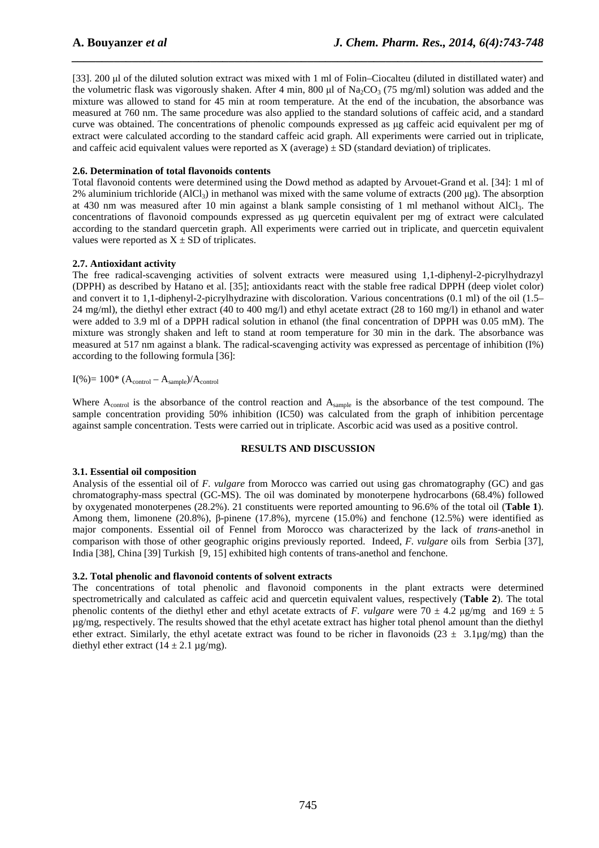[33]. 200 µl of the diluted solution extract was mixed with 1 ml of Folin–Ciocalteu (diluted in distillated water) and the volumetric flask was vigorously shaken. After 4 min, 800  $\mu$ l of Na<sub>2</sub>CO<sub>3</sub> (75 mg/ml) solution was added and the mixture was allowed to stand for 45 min at room temperature. At the end of the incubation, the absorbance was measured at 760 nm. The same procedure was also applied to the standard solutions of caffeic acid, and a standard curve was obtained. The concentrations of phenolic compounds expressed as µg caffeic acid equivalent per mg of extract were calculated according to the standard caffeic acid graph. All experiments were carried out in triplicate, and caffeic acid equivalent values were reported as  $X$  (average)  $\pm$  SD (standard deviation) of triplicates.

*\_\_\_\_\_\_\_\_\_\_\_\_\_\_\_\_\_\_\_\_\_\_\_\_\_\_\_\_\_\_\_\_\_\_\_\_\_\_\_\_\_\_\_\_\_\_\_\_\_\_\_\_\_\_\_\_\_\_\_\_\_\_\_\_\_\_\_\_\_\_\_\_\_\_\_\_\_\_*

#### **2.6. Determination of total flavonoids contents**

Total flavonoid contents were determined using the Dowd method as adapted by Arvouet-Grand et al. [34]: 1 ml of 2% aluminium trichloride (AlCl<sub>3</sub>) in methanol was mixed with the same volume of extracts (200 µg). The absorption at 430 nm was measured after 10 min against a blank sample consisting of 1 ml methanol without AlCl3. The concentrations of flavonoid compounds expressed as µg quercetin equivalent per mg of extract were calculated according to the standard quercetin graph. All experiments were carried out in triplicate, and quercetin equivalent values were reported as  $X \pm SD$  of triplicates.

#### **2.7. Antioxidant activity**

The free radical-scavenging activities of solvent extracts were measured using 1,1-diphenyl-2-picrylhydrazyl (DPPH) as described by Hatano et al. [35]; antioxidants react with the stable free radical DPPH (deep violet color) and convert it to 1,1-diphenyl-2-picrylhydrazine with discoloration. Various concentrations (0.1 ml) of the oil (1.5– 24 mg/ml), the diethyl ether extract (40 to 400 mg/l) and ethyl acetate extract (28 to 160 mg/l) in ethanol and water were added to 3.9 ml of a DPPH radical solution in ethanol (the final concentration of DPPH was 0.05 mM). The mixture was strongly shaken and left to stand at room temperature for 30 min in the dark. The absorbance was measured at 517 nm against a blank. The radical-scavenging activity was expressed as percentage of inhibition (I%) according to the following formula [36]:

 $I(\%)=100^*$   $(A_{control}-A_{sample})/A_{control}$ 

Where A<sub>control</sub> is the absorbance of the control reaction and A<sub>sample</sub> is the absorbance of the test compound. The sample concentration providing 50% inhibition (IC50) was calculated from the graph of inhibition percentage against sample concentration. Tests were carried out in triplicate. Ascorbic acid was used as a positive control.

#### **RESULTS AND DISCUSSION**

#### **3.1. Essential oil composition**

Analysis of the essential oil of *F. vulgare* from Morocco was carried out using gas chromatography (GC) and gas chromatography-mass spectral (GC-MS). The oil was dominated by monoterpene hydrocarbons (68.4%) followed by oxygenated monoterpenes (28.2%). 21 constituents were reported amounting to 96.6% of the total oil (**Table 1**). Among them, limonene (20.8%), β-pinene (17.8%), myrcene (15.0%) and fenchone (12.5%) were identified as major components. Essential oil of Fennel from Morocco was characterized by the lack of *trans*-anethol in comparison with those of other geographic origins previously reported. Indeed, *F. vulgare* oils from Serbia [37], India [38], China [39] Turkish [9, 15] exhibited high contents of trans-anethol and fenchone.

#### **3.2. Total phenolic and flavonoid contents of solvent extracts**

The concentrations of total phenolic and flavonoid components in the plant extracts were determined spectrometrically and calculated as caffeic acid and quercetin equivalent values, respectively (**Table 2**). The total phenolic contents of the diethyl ether and ethyl acetate extracts of *F. vulgare* were  $70 \pm 4.2$   $\mu$ g/mg and  $169 \pm 5$ µg/mg, respectively. The results showed that the ethyl acetate extract has higher total phenol amount than the diethyl ether extract. Similarly, the ethyl acetate extract was found to be richer in flavonoids ( $23 \pm 3.1\mu$ g/mg) than the diethyl ether extract  $(14 \pm 2.1 \,\mu g/mg)$ .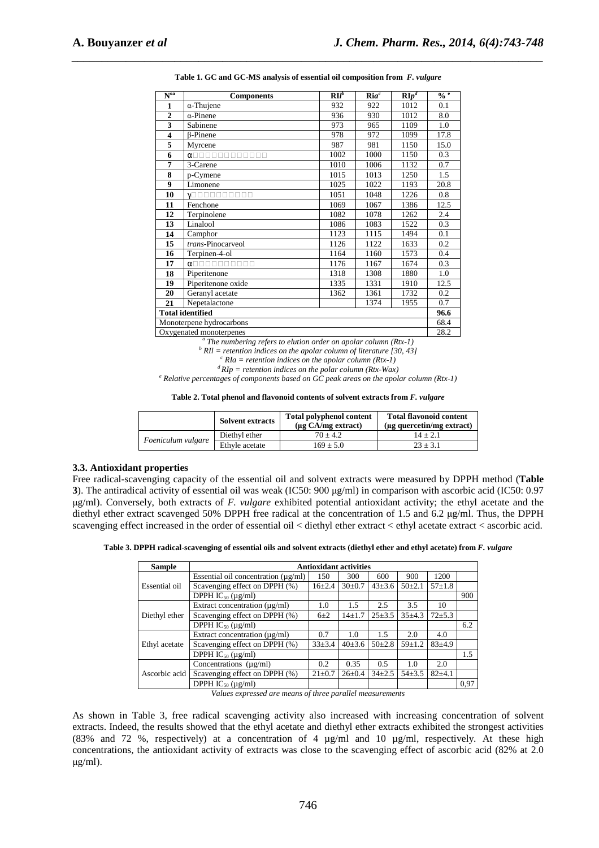| $\overline{\mathbf{N}^{\text{oa}}}$ | <b>Components</b>                       | $\mathbf{R}$ | ${\rm Ri}a^c$ | $\mathbf{R}$ $\overline{p^d}$ | $\frac{0}{0}$ e |
|-------------------------------------|-----------------------------------------|--------------|---------------|-------------------------------|-----------------|
| 1                                   | $\alpha$ -Thujene                       | 932          | 922           | 1012                          | 0.1             |
| $\overline{2}$                      | $\alpha$ -Pinene                        | 936          | 930           | 1012                          | 8.0             |
| 3                                   | Sabinene                                | 973          | 965           | 1109                          | 1.0             |
| 4                                   | <b>B-Pinene</b>                         | 978          | 972           | 1099                          | 17.8            |
| 5                                   | Myrcene                                 | 987          | 981           | 1150                          | 15.0            |
| 6                                   | <b>DOD</b><br>$\alpha$ $\Box$<br>nnnnnn | 1002         | 1000          | 1150                          | 0.3             |
| 7                                   | 3-Carene                                | 1010         | 1006          | 1132                          | 0.7             |
| 8                                   | p-Cymene                                | 1015         | 1013          | 1250                          | 1.5             |
| 9                                   | Limonene                                | 1025         | 1022          | 1193                          | 20.8            |
| 10                                  | nnnnnnn<br>$\sqrt{}$                    | 1051         | 1048          | 1226                          | 0.8             |
| 11                                  | Fenchone                                | 1069         | 1067          | 1386                          | 12.5            |
| 12                                  | Terpinolene                             | 1082         | 1078          | 1262                          | 2.4             |
| 13                                  | Linalool                                | 1086         | 1083          | 1522                          | 0.3             |
| 14                                  | Camphor                                 | 1123         | 1115          | 1494                          | 0.1             |
| 15                                  | trans-Pinocarveol                       | 1126         | 1122          | 1633                          | 0.2             |
| 16                                  | Terpinen-4-ol                           | 1164         | 1160          | 1573                          | 0.4             |
| 17                                  | $\alpha$                                | 1176         | 1167          | 1674                          | 0.3             |
| 18                                  | Piperitenone                            | 1318         | 1308          | 1880                          | 1.0             |
| 19                                  | Piperitenone oxide                      | 1335         | 1331          | 1910                          | 12.5            |
| 20                                  | Geranyl acetate                         | 1362         | 1361          | 1732                          | 0.2             |
| 21                                  | Nepetalactone                           |              | 1374          | 1955                          | 0.7             |
| <b>Total identified</b>             |                                         |              |               |                               |                 |
| Monoterpene hydrocarbons            |                                         |              |               |                               |                 |
| Oxygenated monoterpenes             |                                         |              |               |                               |                 |

*\_\_\_\_\_\_\_\_\_\_\_\_\_\_\_\_\_\_\_\_\_\_\_\_\_\_\_\_\_\_\_\_\_\_\_\_\_\_\_\_\_\_\_\_\_\_\_\_\_\_\_\_\_\_\_\_\_\_\_\_\_\_\_\_\_\_\_\_\_\_\_\_\_\_\_\_\_\_* **Table 1. GC and GC-MS analysis of essential oil composition from** *F. vulgare*

<sup>*a*</sup> The numbering refers to elution order on apolar column (Rtx-1)

 $\mu^b$  RIl = retention indices on the apolar column of literature [30, 43]

*c RIa = retention indices on the apolar column (Rtx-1)* 

*<sup>d</sup>RIp = retention indices on the polar column (Rtx-Wax)* 

<sup>e</sup> Relative percentages of components based on GC peak areas on the apolar column (Rtx-1)

**Table 2. Total phenol and flavonoid contents of solvent extracts from** *F. vulgare* 

|                    | <b>Solvent extracts</b> | <b>Total polyphenol content</b><br>$(\mu$ g CA/mg extract) | <b>Total flavonoid content</b><br>( $\mu$ g quercetin/mg extract) |
|--------------------|-------------------------|------------------------------------------------------------|-------------------------------------------------------------------|
| Foeniculum vulgare | Diethyl ether           | $70 + 4.2$                                                 | $14 + 2.1$                                                        |
|                    | Ethyle acetate          | $169 \pm 5.0$                                              | $23 \pm 3.1$                                                      |

#### **3.3. Antioxidant properties**

Free radical-scavenging capacity of the essential oil and solvent extracts were measured by DPPH method (**Table 3**). The antiradical activity of essential oil was weak (IC50: 900 µg/ml) in comparison with ascorbic acid (IC50: 0.97 µg/ml). Conversely, both extracts of *F. vulgare* exhibited potential antioxidant activity; the ethyl acetate and the diethyl ether extract scavenged 50% DPPH free radical at the concentration of 1.5 and 6.2 µg/ml. Thus, the DPPH scavenging effect increased in the order of essential oil < diethyl ether extract < ethyl acetate extract < ascorbic acid.

**Table 3. DPPH radical-scavenging of essential oils and solvent extracts (diethyl ether and ethyl acetate) from** *F. vulgare*

| <b>Sample</b> | <b>Antioxidant activities</b>                 |              |              |              |              |            |      |  |  |
|---------------|-----------------------------------------------|--------------|--------------|--------------|--------------|------------|------|--|--|
|               | Essential oil concentration $(\mu \varrho/m)$ | 150          | 300          | 600          | 900          | 1200       |      |  |  |
| Essential oil | Scavenging effect on DPPH (%)                 | $16 + 2.4$   | $30 \pm 0.7$ | $43 \pm 3.6$ | $50+2.1$     | $57+1.8$   |      |  |  |
|               | DPPH $IC_{50} (\mu g/ml)$                     |              |              |              |              |            | 900  |  |  |
|               | Extract concentration $(\mu g/ml)$            | 1.0          | 1.5          | 2.5          | 3.5          | 10         |      |  |  |
| Diethyl ether | Scavenging effect on DPPH (%)                 | $6\pm2$      | $14 + 1.7$   | $25 \pm 3.5$ | $35 + 4.3$   | $72 + 5.3$ |      |  |  |
|               | DPPH $IC_{50} (\mu g/ml)$                     |              |              |              |              |            | 6.2  |  |  |
|               | Extract concentration $(\mu g/ml)$            | 0.7          | 1.0          | 1.5          | 2.0          | 4.0        |      |  |  |
| Ethyl acetate | Scavenging effect on DPPH (%)                 | $33 + 3.4$   | $40+3.6$     | $50+2.8$     | $59 \pm 1.2$ | $83 + 4.9$ |      |  |  |
|               | DPPH $IC_{50} (\mu g/ml)$                     |              |              |              |              |            | 1.5  |  |  |
|               | Concentrations $(\mu g/ml)$                   | 0.2          | 0.35         | 0.5          | 1.0          | 2.0        |      |  |  |
| Ascorbic acid | Scavenging effect on DPPH (%)                 | $21 \pm 0.7$ | $26 \pm 0.4$ | $34 + 2.5$   | $54 + 3.5$   | $82 + 4.1$ |      |  |  |
|               | DPPH $IC_{50} (\mu g/ml)$                     |              |              |              |              |            | 0,97 |  |  |

*Values expressed are means of three parallel measurements* 

As shown in Table 3, free radical scavenging activity also increased with increasing concentration of solvent extracts. Indeed, the results showed that the ethyl acetate and diethyl ether extracts exhibited the strongest activities (83% and 72 %, respectively) at a concentration of 4 µg/ml and 10 µg/ml, respectively. At these high concentrations, the antioxidant activity of extracts was close to the scavenging effect of ascorbic acid (82% at 2.0 µg/ml).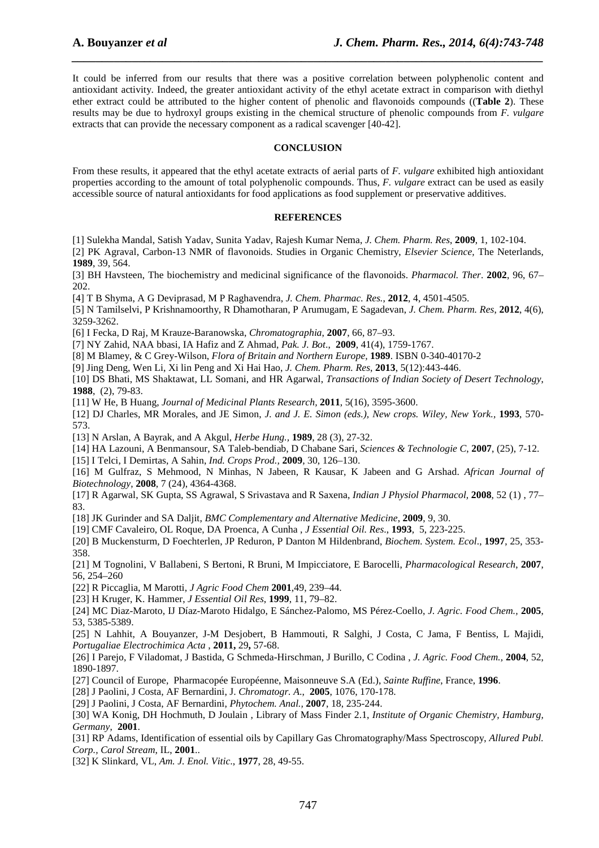It could be inferred from our results that there was a positive correlation between polyphenolic content and antioxidant activity. Indeed, the greater antioxidant activity of the ethyl acetate extract in comparison with diethyl ether extract could be attributed to the higher content of phenolic and flavonoids compounds ((**Table 2**). These results may be due to hydroxyl groups existing in the chemical structure of phenolic compounds from *F. vulgare* extracts that can provide the necessary component as a radical scavenger [40-42].

*\_\_\_\_\_\_\_\_\_\_\_\_\_\_\_\_\_\_\_\_\_\_\_\_\_\_\_\_\_\_\_\_\_\_\_\_\_\_\_\_\_\_\_\_\_\_\_\_\_\_\_\_\_\_\_\_\_\_\_\_\_\_\_\_\_\_\_\_\_\_\_\_\_\_\_\_\_\_*

#### **CONCLUSION**

From these results, it appeared that the ethyl acetate extracts of aerial parts of *F. vulgare* exhibited high antioxidant properties according to the amount of total polyphenolic compounds. Thus, *F. vulgare* extract can be used as easily accessible source of natural antioxidants for food applications as food supplement or preservative additives.

#### **REFERENCES**

[1] Sulekha Mandal, Satish Yadav, Sunita Yadav, Rajesh Kumar Nema, *J. Chem. Pharm. Res*, **2009**, 1, 102-104.

[2] PK Agraval, Carbon-13 NMR of flavonoids. Studies in Organic Chemistry, *Elsevier Science,* The Neterlands, **1989**, 39, 564.

[3] BH Havsteen, The biochemistry and medicinal significance of the flavonoids. *Pharmacol. Ther*. **2002**, 96, 67– 202.

[4] T B Shyma, A G Deviprasad, M P Raghavendra, *J. Chem. Pharmac. Res.*, **2012**, 4, 4501-4505.

[5] N Tamilselvi, P Krishnamoorthy, R Dhamotharan, P Arumugam, E Sagadevan, *J. Chem. Pharm. Res*, **2012**, 4(6), 3259-3262.

[6] I Fecka, D Raj, M Krauze-Baranowska, *Chromatographia*, **2007**, 66, 87–93.

[7] NY Zahid, NAA bbasi, IA Hafiz and Z Ahmad, *Pak. J. Bot*., **2009**, 41(4), 1759-1767.

[8] M Blamey, & C Grey-Wilson, *Flora of Britain and Northern Europe,* **1989**. ISBN 0-340-40170-2

[9] Jing Deng, Wen Li, Xi lin Peng and Xi Hai Hao, *J. Chem. Pharm. Res*, **2013**, 5(12):443-446.

[10] DS Bhati, MS Shaktawat, LL Somani, and HR Agarwal, *Transactions of Indian Society of Desert Technology*, **1988**, (2), 79-83.

[11] W He, B Huang, *Journal of Medicinal Plants Research,* **2011**, 5(16), 3595-3600.

[12] DJ Charles, MR Morales, and JE Simon, *J. and J. E. Simon (eds.), New crops. Wiley, New York.,* **1993**, 570- 573.

[13] N Arslan, A Bayrak, and A Akgul, *Herbe Hung.,* **1989**, 28 (3), 27-32.

[14] HA Lazouni, A Benmansour, SA Taleb-bendiab, D Chabane Sari, *Sciences & Technologie C*, **2007**, (25), 7-12.

[15] I Telci, I Demirtas, A Sahin, *Ind. Crops Prod.,* **2009**, 30, 126–130.

[16] M Gulfraz, S Mehmood, N Minhas, N Jabeen, R Kausar, K Jabeen and G Arshad. *African Journal of Biotechnology*, **2008**, 7 (24), 4364-4368.

[17] R Agarwal, SK Gupta, SS Agrawal, S Srivastava and R Saxena, *Indian J Physiol Pharmacol,* **2008**, 52 (1) , 77– 83.

[18] JK Gurinder and SA Daljit, *BMC Complementary and Alternative Medicine*, **2009**, 9, 30.

[19] CMF Cavaleiro, OL Roque, DA Proenca, A Cunha , *J Essential Oil. Res*., **1993**, 5, 223-225.

[20] B Muckensturm, D Foechterlen, JP Reduron, P Danton M Hildenbrand, *Biochem. System. Ecol*., **1997**, 25, 353- 358.

[21] M Tognolini, V Ballabeni, S Bertoni, R Bruni, M Impicciatore, E Barocelli, *Pharmacological Research*, **2007**, 56, 254–260

[22] R Piccaglia, M Marotti, *J Agric Food Chem* **2001**,49, 239–44.

[23] H Kruger, K. Hammer, *J Essential Oil Res*, **1999**, 11, 79–82.

[24] MC Diaz-Maroto, IJ Díaz-Maroto Hidalgo, E Sánchez-Palomo, MS Pérez-Coello, *J. Agric. Food Chem.,* **2005**, 53, 5385-5389.

[25] N Lahhit, A Bouyanzer, J-M Desjobert, B Hammouti, R Salghi, J Costa, C Jama, F Bentiss, L Majidi, *Portugaliae Electrochimica Acta* , **2011,** 29**,** 57-68.

[26] I Parejo, F Viladomat, J Bastida, G Schmeda-Hirschman, J Burillo, C Codina , *J. Agric. Food Chem.,* **2004**, 52, 1890-1897.

[27] Council of Europe, Pharmacopée Européenne, Maisonneuve S.A (Ed.), *Sainte Ruffine*, France, **1996**.

[28] J Paolini, J Costa, AF Bernardini, J. *Chromatogr. A*., **2005**, 1076, 170-178.

[29] J Paolini, J Costa, AF Bernardini, *Phytochem. Anal.,* **2007**, 18, 235-244.

[30] WA Konig, DH Hochmuth, D Joulain , Library of Mass Finder 2.1, *Institute of Organic Chemistry, Hamburg, Germany*, **2001**.

[31] RP Adams, Identification of essential oils by Capillary Gas Chromatography/Mass Spectroscopy, *Allured Publ. Corp., Carol Stream*, IL, **2001**..

[32] K Slinkard, VL, *Am. J. Enol. Vitic*., **1977**, 28, 49-55.